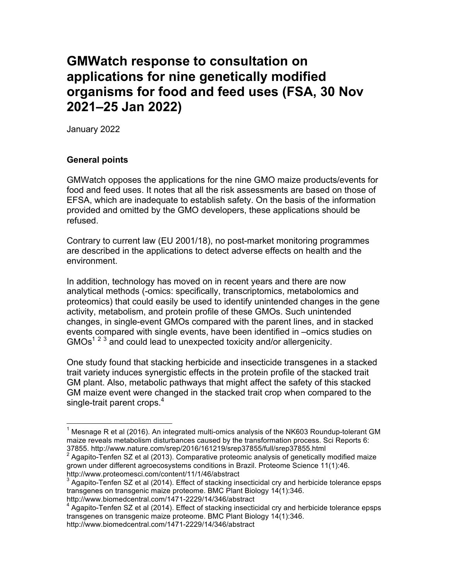## **GMWatch response to consultation on applications for nine genetically modified organisms for food and feed uses (FSA, 30 Nov 2021–25 Jan 2022)**

January 2022

## **General points**

GMWatch opposes the applications for the nine GMO maize products/events for food and feed uses. It notes that all the risk assessments are based on those of EFSA, which are inadequate to establish safety. On the basis of the information provided and omitted by the GMO developers, these applications should be refused.

Contrary to current law (EU 2001/18), no post-market monitoring programmes are described in the applications to detect adverse effects on health and the environment.

In addition, technology has moved on in recent years and there are now analytical methods (-omics: specifically, transcriptomics, metabolomics and proteomics) that could easily be used to identify unintended changes in the gene activity, metabolism, and protein profile of these GMOs. Such unintended changes, in single-event GMOs compared with the parent lines, and in stacked events compared with single events, have been identified in –omics studies on  $GMOs<sup>1 2 3</sup>$  and could lead to unexpected toxicity and/or allergenicity.

One study found that stacking herbicide and insecticide transgenes in a stacked trait variety induces synergistic effects in the protein profile of the stacked trait GM plant. Also, metabolic pathways that might affect the safety of this stacked GM maize event were changed in the stacked trait crop when compared to the single-trait parent crops.<sup>4</sup>

<sup>&</sup>lt;sup>1</sup> Mesnage R et al (2016). An integrated multi-omics analysis of the NK603 Roundup-tolerant GM maize reveals metabolism disturbances caused by the transformation process. Sci Reports 6: 37855. http://www.nature.com/srep/2016/161219/srep37855/full/srep37855.html

<sup>2</sup> Agapito-Tenfen SZ et al (2013). Comparative proteomic analysis of genetically modified maize grown under different agroecosystems conditions in Brazil. Proteome Science 11(1):46. http://www.proteomesci.com/content/11/1/46/abstract

 $3$  Agapito-Tenfen SZ et al (2014). Effect of stacking insecticidal cry and herbicide tolerance epsps transgenes on transgenic maize proteome. BMC Plant Biology 14(1):346.

http://www.biomedcentral.com/1471-2229/14/346/abstract

 $4$  Agapito-Tenfen SZ et al (2014). Effect of stacking insecticidal cry and herbicide tolerance epsps transgenes on transgenic maize proteome. BMC Plant Biology 14(1):346.

http://www.biomedcentral.com/1471-2229/14/346/abstract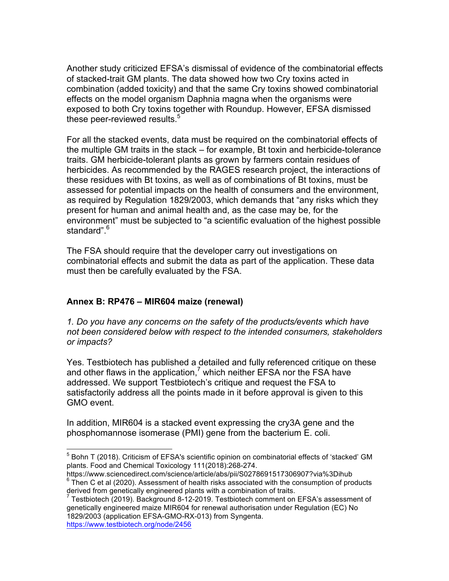Another study criticized EFSA's dismissal of evidence of the combinatorial effects of stacked-trait GM plants. The data showed how two Cry toxins acted in combination (added toxicity) and that the same Cry toxins showed combinatorial effects on the model organism Daphnia magna when the organisms were exposed to both Cry toxins together with Roundup. However, EFSA dismissed these peer-reviewed results.<sup>5</sup>

For all the stacked events, data must be required on the combinatorial effects of the multiple GM traits in the stack – for example, Bt toxin and herbicide-tolerance traits. GM herbicide-tolerant plants as grown by farmers contain residues of herbicides. As recommended by the RAGES research project, the interactions of these residues with Bt toxins, as well as of combinations of Bt toxins, must be assessed for potential impacts on the health of consumers and the environment, as required by Regulation 1829/2003, which demands that "any risks which they present for human and animal health and, as the case may be, for the environment" must be subjected to "a scientific evaluation of the highest possible standard".<sup>6</sup>

The FSA should require that the developer carry out investigations on combinatorial effects and submit the data as part of the application. These data must then be carefully evaluated by the FSA.

## **Annex B: RP476 – MIR604 maize (renewal)**

*1. Do you have any concerns on the safety of the products/events which have not been considered below with respect to the intended consumers, stakeholders or impacts?*

Yes. Testbiotech has published a detailed and fully referenced critique on these and other flaws in the application,<sup>7</sup> which neither EFSA nor the FSA have addressed. We support Testbiotech's critique and request the FSA to satisfactorily address all the points made in it before approval is given to this GMO event.

In addition, MIR604 is a stacked event expressing the cry3A gene and the phosphomannose isomerase (PMI) gene from the bacterium E. coli.

 <sup>5</sup> Bohn T (2018). Criticism of EFSA's scientific opinion on combinatorial effects of 'stacked' GM plants. Food and Chemical Toxicology 111(2018):268-274.

https://www.sciencedirect.com/science/article/abs/pii/S0278691517306907?via%3Dihub  $6$  Then C et al (2020). Assessment of health risks associated with the consumption of products derived from genetically engineered plants with a combination of traits.

<sup>7</sup> Testbiotech (2019). Background 8-12-2019. Testbiotech comment on EFSA's assessment of genetically engineered maize MIR604 for renewal authorisation under Regulation (EC) No 1829/2003 (application EFSA-GMO-RX-013) from Syngenta.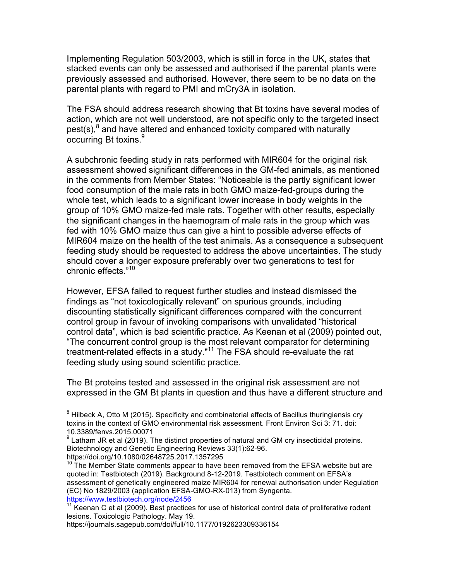Implementing Regulation 503/2003, which is still in force in the UK, states that stacked events can only be assessed and authorised if the parental plants were previously assessed and authorised. However, there seem to be no data on the parental plants with regard to PMI and mCry3A in isolation.

The FSA should address research showing that Bt toxins have several modes of action, which are not well understood, are not specific only to the targeted insect pest(s),<sup>8</sup> and have altered and enhanced toxicity compared with naturally occurring Bt toxins.<sup>9</sup>

A subchronic feeding study in rats performed with MIR604 for the original risk assessment showed significant differences in the GM-fed animals, as mentioned in the comments from Member States: "Noticeable is the partly significant lower food consumption of the male rats in both GMO maize-fed-groups during the whole test, which leads to a significant lower increase in body weights in the group of 10% GMO maize-fed male rats. Together with other results, especially the significant changes in the haemogram of male rats in the group which was fed with 10% GMO maize thus can give a hint to possible adverse effects of MIR604 maize on the health of the test animals. As a consequence a subsequent feeding study should be requested to address the above uncertainties. The study should cover a longer exposure preferably over two generations to test for chronic effects."<sup>10</sup>

However, EFSA failed to request further studies and instead dismissed the findings as "not toxicologically relevant" on spurious grounds, including discounting statistically significant differences compared with the concurrent control group in favour of invoking comparisons with unvalidated "historical control data", which is bad scientific practice. As Keenan et al (2009) pointed out, "The concurrent control group is the most relevant comparator for determining treatment-related effects in a study."<sup>11</sup> The FSA should re-evaluate the rat feeding study using sound scientific practice.

The Bt proteins tested and assessed in the original risk assessment are not expressed in the GM Bt plants in question and thus have a different structure and

 $8$  Hilbeck A, Otto M (2015). Specificity and combinatorial effects of Bacillus thuringiensis cry toxins in the context of GMO environmental risk assessment. Front Environ Sci 3: 71. doi: 10.3389/fenvs.2015.00071

 $9$  Latham JR et al (2019). The distinct properties of natural and GM cry insecticidal proteins. Biotechnology and Genetic Engineering Reviews 33(1):62-96. https://doi.org/10.1080/02648725.2017.1357295

 $10$  The Member State comments appear to have been removed from the EFSA website but are quoted in: Testbiotech (2019). Background 8-12-2019. Testbiotech comment on EFSA's assessment of genetically engineered maize MIR604 for renewal authorisation under Regulation (EC) No 1829/2003 (application EFSA-GMO-RX-013) from Syngenta. https://www.testbiotech.org/node/2456

 $11$  Keenan C et al (2009). Best practices for use of historical control data of proliferative rodent lesions. Toxicologic Pathology. May 19.

https://journals.sagepub.com/doi/full/10.1177/0192623309336154